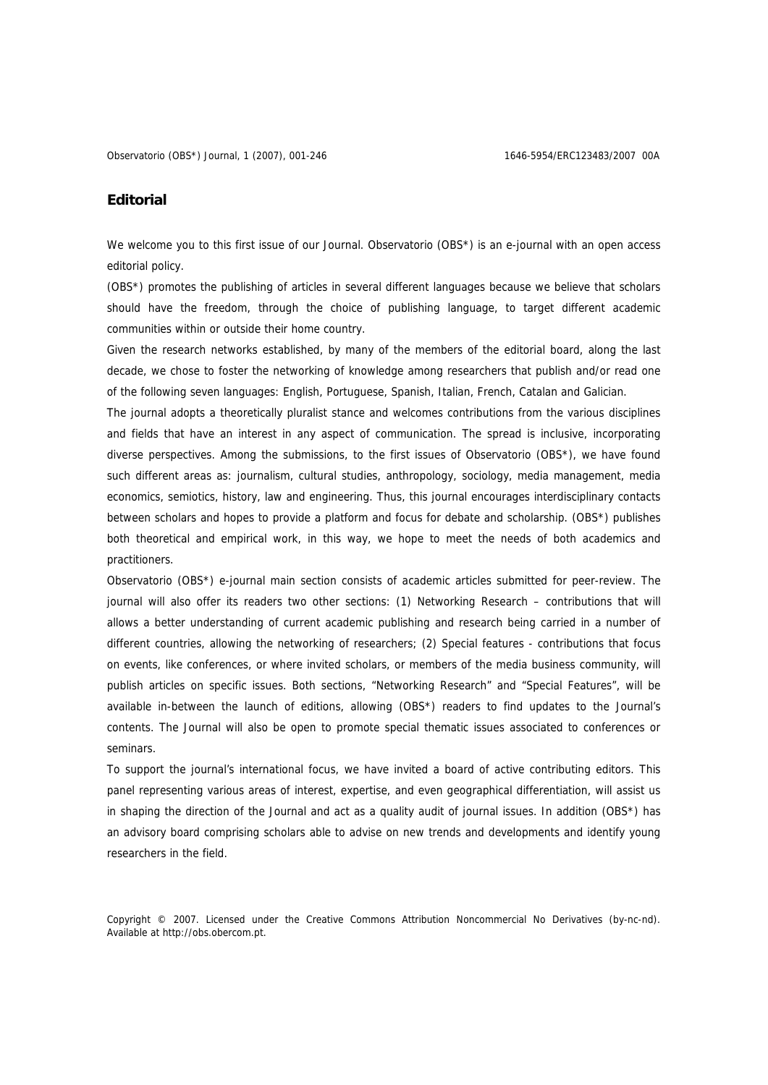## **Editorial**

We welcome you to this first issue of our Journal. Observatorio (OBS\*) is an e-journal with an open access editorial policy.

(OBS\*) promotes the publishing of articles in several different languages because we believe that scholars should have the freedom, through the choice of publishing language, to target different academic communities within or outside their home country.

Given the research networks established, by many of the members of the editorial board, along the last decade, we chose to foster the networking of knowledge among researchers that publish and/or read one of the following seven languages: English, Portuguese, Spanish, Italian, French, Catalan and Galician.

The journal adopts a theoretically pluralist stance and welcomes contributions from the various disciplines and fields that have an interest in any aspect of communication. The spread is inclusive, incorporating diverse perspectives. Among the submissions, to the first issues of Observatorio (OBS\*), we have found such different areas as: journalism, cultural studies, anthropology, sociology, media management, media economics, semiotics, history, law and engineering. Thus, this journal encourages interdisciplinary contacts between scholars and hopes to provide a platform and focus for debate and scholarship. (OBS\*) publishes both theoretical and empirical work, in this way, we hope to meet the needs of both academics and practitioners.

Observatorio (OBS\*) e-journal main section consists of academic articles submitted for peer-review. The journal will also offer its readers two other sections: (1) Networking Research – contributions that will allows a better understanding of current academic publishing and research being carried in a number of different countries, allowing the networking of researchers; (2) Special features - contributions that focus on events, like conferences, or where invited scholars, or members of the media business community, will publish articles on specific issues. Both sections, "Networking Research" and "Special Features", will be available in-between the launch of editions, allowing (OBS\*) readers to find updates to the Journal's contents. The Journal will also be open to promote special thematic issues associated to conferences or seminars.

To support the journal's international focus, we have invited a board of active contributing editors. This panel representing various areas of interest, expertise, and even geographical differentiation, will assist us in shaping the direction of the Journal and act as a quality audit of journal issues. In addition (OBS\*) has an advisory board comprising scholars able to advise on new trends and developments and identify young researchers in the field.

Copyright © 2007. Licensed under the Creative Commons Attribution Noncommercial No Derivatives (by-nc-nd). Available at http://obs.obercom.pt.